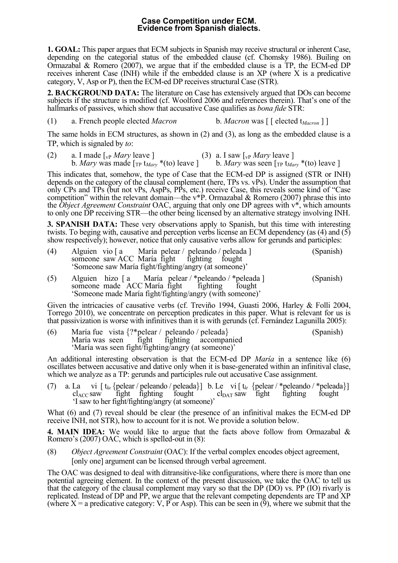## **Case Competition under ECM. Evidence from Spanish dialects.**

**1. GOAL:** This paper argues that ECM subjects in Spanish may receive structural or inherent Case, depending on the categorial status of the embedded clause (cf. Chomsky 1986). Builing on Ormazabal & Romero (2007), we argue that if the embedded clause is a TP, the ECM-ed DP receives inherent Case (INH) while if the embedded clause is an XP (where X is a predicative category, V, Asp or P), then the ECM-ed DP receives structural Case (STR).

**2. BACKGROUND DATA:** The literature on Case has extensively argued that DOs can become subjects if the structure is modified (cf. Woolford 2006 and references therein). That's one of the hallmarks of passives, which show that accusative Case qualifies as *bona fide* STR:

(1) a. French people elected *Macron* b. *Macron* was [ [ elected t*Macron* ] ]

The same holds in ECM structures, as shown in (2) and (3), as long as the embedded clause is a TP, which is signaled by *to*:

(2) a. I made  $\left[\sqrt{p} \right]$  *Mary* leave ] (3) a. I saw  $\left[\sqrt{p} \right]$  *Mary* leave ] b. *Mary* was made  $[\text{TP} \text{ t}_{\text{Mary}}^*$  \*(to) leave ] b. *Mary* was seen  $[\text{TP} \text{ t}_{\text{Mary}}^*$  \*(to) leave ]

This indicates that, somehow, the type of Case that the ECM-ed DP is assigned (STR or INH) depends on the category of the clausal complement (here, TPs vs. vPs). Under the assumption that only CPs and TPs (but not vPs, AspPs, PPs, etc.) receive Case, this reveals some kind of "Case competition" within the relevant domain—the v\*P. Ormazabal  $\&$  Romero (2007) phrase this into the *Object Agreement Constraint* OAC, arguing that only one DP agrees with v\*, which amounts to only one DP receiving STR—the other being licensed by an alternative strategy involving INH.

**3. SPANISH DATA:** These very observations apply to Spanish, but this time with interesting twists. To beging with, causative and perception verbs license an ECM dependency (as (4) and (5) show respectively); however, notice that only causative verbs allow for gerunds and participles:

| (4) | Alguien vio [a María pelear / peleando / peleada ] | someone saw ACC María fight fighting fought<br>'Someone saw María fight/fighting/angry (at someone)'  |  | (Spanish) |
|-----|----------------------------------------------------|-------------------------------------------------------------------------------------------------------|--|-----------|
| (5) |                                                    | Alguien hizo [a María pelear / *peleando / *peleada ]<br>someone made ACC María fight fighting fought |  | (Spanish) |

'Someone made María fight/fighting/angry (with someone)'

Given the intricacies of causative verbs (cf. Treviño 1994, Guasti 2006, Harley & Folli 2004, Torrego 2010), we concentrate on perception predicates in this paper. What is relevant for us is that passivization is worse with infinitives than it is with gerunds (cf. Fernández Lagunilla 2005):

| (6) | María fue vista $\{?^*\text{pclear}\,/\text{pcleando}\,/\text{peleada}\}\$ |  | (Spanish) |
|-----|----------------------------------------------------------------------------|--|-----------|
|     | María was seen fight fighting accompanied                                  |  |           |
|     | 'María was seen fight/fighting/angry (at someone)'                         |  |           |

An additional interesting observation is that the ECM-ed DP *María* in a sentence like (6) oscillates between accusative and dative only when it is base-generated within an infinitival clase, which we analyze as a TP: gerunds and participles rule out accusative Case assignment.

(7) a. La vi  $[t_{la} \{ \text{pclear } / \text{pcleando } / \text{pcleando} \} ]$  b. Le vi  $[t_{le} \{ \text{pclear } / \text{pcleando } / \text{pcleando} \} ]$ <br>cl<sub>ACC</sub> saw fight fighting fought cl<sub>DAT</sub> saw fight fighting fought 'I saw to her fight/fighting/angry (at someone)'

What (6) and (7) reveal should be clear (the presence of an infinitival makes the ECM-ed DP receive INH, not STR), how to account for it is not. We provide a solution below.

**4. MAIN IDEA:** We would like to argue that the facts above follow from Ormazabal & Romero's (2007) OAC, which is spelled-out in (8):

(8) *Object Agreement Constraint* (OAC): If the verbal complex encodes object agreement, [only one] argument can be licensed through verbal agreement.

The OAC was designed to deal with ditransitive-like configurations, where there is more than one potential agreeing element. In the context of the present discussion, we take the OAC to tell us that the category of the clausal complement may vary so that the DP (DO) vs. PP (IO) rivarly is replicated. Instead of DP and PP, we argue that the relevant competing dependents are TP and XP (where  $X = a$  predicative category: V, P or Asp). This can be seen in (9), where we submit that the